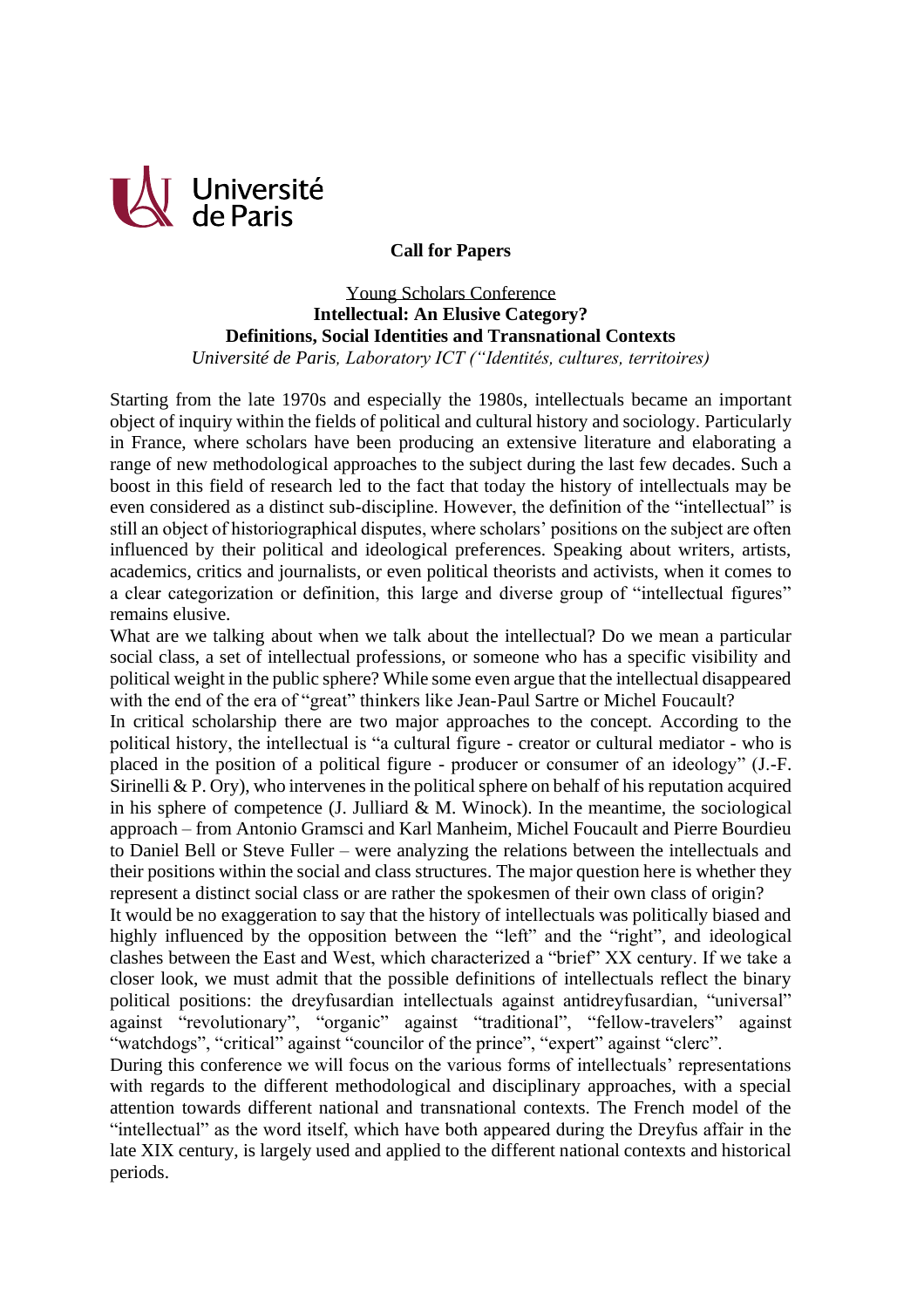

## **Call for Papers**

Young Scholars Conference **Intellectual: An Elusive Category? Definitions, Social Identities and Transnational Contexts** *Université de Paris, Laboratory ICT ("Identités, cultures, territoires)*

Starting from the late 1970s and especially the 1980s, intellectuals became an important object of inquiry within the fields of political and cultural history and sociology. Particularly in France, where scholars have been producing an extensive literature and elaborating a range of new methodological approaches to the subject during the last few decades. Such a boost in this field of research led to the fact that today the history of intellectuals may be even considered as a distinct sub-discipline. However, the definition of the "intellectual" is still an object of historiographical disputes, where scholars' positions on the subject are often influenced by their political and ideological preferences. Speaking about writers, artists, academics, critics and journalists, or even political theorists and activists, when it comes to a clear categorization or definition, this large and diverse group of "intellectual figures" remains elusive.

What are we talking about when we talk about the intellectual? Do we mean a particular social class, a set of intellectual professions, or someone who has a specific visibility and political weight in the public sphere? While some even argue that the intellectual disappeared with the end of the era of "great" thinkers like Jean-Paul Sartre or Michel Foucault?

In critical scholarship there are two major approaches to the concept. According to the political history, the intellectual is "a cultural figure - creator or cultural mediator - who is placed in the position of a political figure - producer or consumer of an ideology" (J.-F. Sirinelli  $\&$  P. Ory), who intervenes in the political sphere on behalf of his reputation acquired in his sphere of competence (J. Julliard  $\& M.$  Winock). In the meantime, the sociological approach – from Antonio Gramsci and Karl Manheim, Michel Foucault and Pierre Bourdieu to Daniel Bell or Steve Fuller – were analyzing the relations between the intellectuals and their positions within the social and class structures. The major question here is whether they represent a distinct social class or are rather the spokesmen of their own class of origin?

It would be no exaggeration to say that the history of intellectuals was politically biased and highly influenced by the opposition between the "left" and the "right", and ideological clashes between the East and West, which characterized a "brief" XX century. If we take a closer look, we must admit that the possible definitions of intellectuals reflect the binary political positions: the dreyfusardian intellectuals against antidreyfusardian, "universal" against "revolutionary", "organic" against "traditional", "fellow-travelers" against "watchdogs", "critical" against "councilor of the prince", "expert" against "clerc".

During this conference we will focus on the various forms of intellectuals' representations with regards to the different methodological and disciplinary approaches, with a special attention towards different national and transnational contexts. The French model of the "intellectual" as the word itself, which have both appeared during the Dreyfus affair in the late XIX century, is largely used and applied to the different national contexts and historical periods.